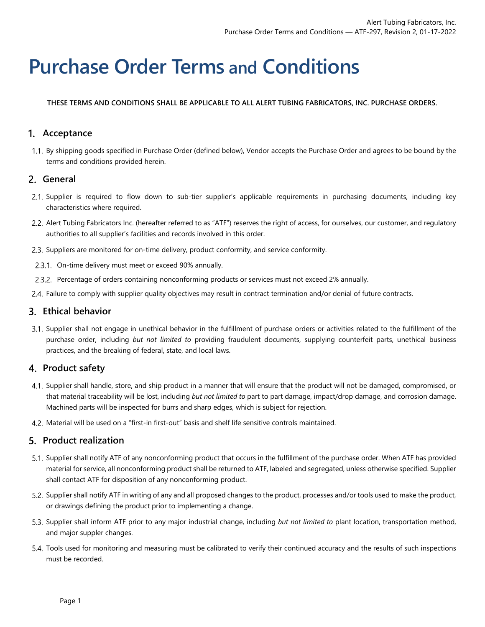# **Purchase Order Terms and Conditions**

**THESE TERMS AND CONDITIONS SHALL BE APPLICABLE TO ALL ALERT TUBING FABRICATORS, INC. PURCHASE ORDERS.** 

## **Acceptance**

1.1. By shipping goods specified in Purchase Order (defined below), Vendor accepts the Purchase Order and agrees to be bound by the terms and conditions provided herein.

#### **General**

- 2.1. Supplier is required to flow down to sub-tier supplier's applicable requirements in purchasing documents, including key characteristics where required.
- 2.2. Alert Tubing Fabricators Inc. (hereafter referred to as "ATF") reserves the right of access, for ourselves, our customer, and regulatory authorities to all supplier's facilities and records involved in this order.
- 2.3. Suppliers are monitored for on-time delivery, product conformity, and service conformity.
- 2.3.1. On-time delivery must meet or exceed 90% annually.
- Percentage of orders containing nonconforming products or services must not exceed 2% annually.
- Failure to comply with supplier quality objectives may result in contract termination and/or denial of future contracts.

#### **Ethical behavior**

3.1. Supplier shall not engage in unethical behavior in the fulfillment of purchase orders or activities related to the fulfillment of the purchase order, including *but not limited to* providing fraudulent documents, supplying counterfeit parts, unethical business practices, and the breaking of federal, state, and local laws.

#### **Product safety**

- 4.1. Supplier shall handle, store, and ship product in a manner that will ensure that the product will not be damaged, compromised, or that material traceability will be lost, including *but not limited to* part to part damage, impact/drop damage, and corrosion damage. Machined parts will be inspected for burrs and sharp edges, which is subject for rejection.
- Material will be used on a "first-in first-out" basis and shelf life sensitive controls maintained.

## **Product realization**

- 5.1. Supplier shall notify ATF of any nonconforming product that occurs in the fulfillment of the purchase order. When ATF has provided material for service, all nonconforming product shall be returned to ATF, labeled and segregated, unless otherwise specified. Supplier shall contact ATF for disposition of any nonconforming product.
- 5.2. Supplier shall notify ATF in writing of any and all proposed changes to the product, processes and/or tools used to make the product, or drawings defining the product prior to implementing a change.
- Supplier shall inform ATF prior to any major industrial change, including *but not limited to* plant location, transportation method, and major suppler changes.
- Tools used for monitoring and measuring must be calibrated to verify their continued accuracy and the results of such inspections must be recorded.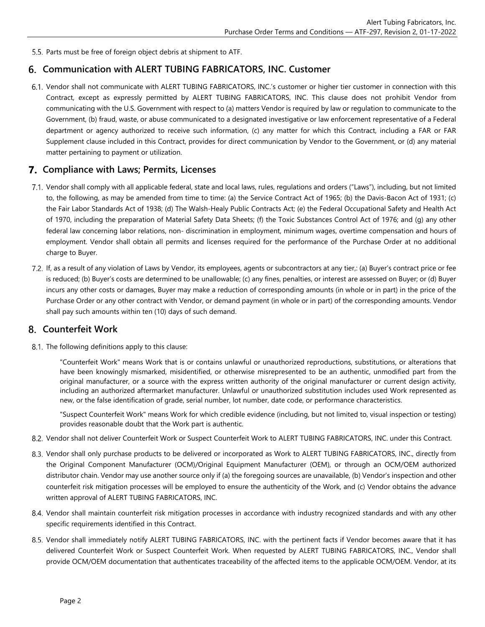5.5. Parts must be free of foreign object debris at shipment to ATF.

#### **Communication with ALERT TUBING FABRICATORS, INC. Customer**

6.1. Vendor shall not communicate with ALERT TUBING FABRICATORS, INC.'s customer or higher tier customer in connection with this Contract, except as expressly permitted by ALERT TUBING FABRICATORS, INC. This clause does not prohibit Vendor from communicating with the U.S. Government with respect to (a) matters Vendor is required by law or regulation to communicate to the Government, (b) fraud, waste, or abuse communicated to a designated investigative or law enforcement representative of a Federal department or agency authorized to receive such information, (c) any matter for which this Contract, including a FAR or FAR Supplement clause included in this Contract, provides for direct communication by Vendor to the Government, or (d) any material matter pertaining to payment or utilization.

#### **Compliance with Laws; Permits, Licenses**

- Vendor shall comply with all applicable federal, state and local laws, rules, regulations and orders ("Laws"), including, but not limited to, the following, as may be amended from time to time: (a) the Service Contract Act of 1965; (b) the Davis-Bacon Act of 1931; (c) the Fair Labor Standards Act of 1938; (d) The Walsh-Healy Public Contracts Act; (e) the Federal Occupational Safety and Health Act of 1970, including the preparation of Material Safety Data Sheets; (f) the Toxic Substances Control Act of 1976; and (g) any other federal law concerning labor relations, non- discrimination in employment, minimum wages, overtime compensation and hours of employment. Vendor shall obtain all permits and licenses required for the performance of the Purchase Order at no additional charge to Buyer.
- If, as a result of any violation of Laws by Vendor, its employees, agents or subcontractors at any tier,: (a) Buyer's contract price or fee is reduced; (b) Buyer's costs are determined to be unallowable; (c) any fines, penalties, or interest are assessed on Buyer; or (d) Buyer incurs any other costs or damages, Buyer may make a reduction of corresponding amounts (in whole or in part) in the price of the Purchase Order or any other contract with Vendor, or demand payment (in whole or in part) of the corresponding amounts. Vendor shall pay such amounts within ten (10) days of such demand.

#### **Counterfeit Work**

8.1. The following definitions apply to this clause:

"Counterfeit Work" means Work that is or contains unlawful or unauthorized reproductions, substitutions, or alterations that have been knowingly mismarked, misidentified, or otherwise misrepresented to be an authentic, unmodified part from the original manufacturer, or a source with the express written authority of the original manufacturer or current design activity, including an authorized aftermarket manufacturer. Unlawful or unauthorized substitution includes used Work represented as new, or the false identification of grade, serial number, lot number, date code, or performance characteristics.

"Suspect Counterfeit Work" means Work for which credible evidence (including, but not limited to, visual inspection or testing) provides reasonable doubt that the Work part is authentic.

- Vendor shall not deliver Counterfeit Work or Suspect Counterfeit Work to ALERT TUBING FABRICATORS, INC. under this Contract.
- 8.3. Vendor shall only purchase products to be delivered or incorporated as Work to ALERT TUBING FABRICATORS, INC., directly from the Original Component Manufacturer (OCM)/Original Equipment Manufacturer (OEM), or through an OCM/OEM authorized distributor chain. Vendor may use another source only if (a) the foregoing sources are unavailable, (b) Vendor's inspection and other counterfeit risk mitigation processes will be employed to ensure the authenticity of the Work, and (c) Vendor obtains the advance written approval of ALERT TUBING FABRICATORS, INC.
- Vendor shall maintain counterfeit risk mitigation processes in accordance with industry recognized standards and with any other specific requirements identified in this Contract.
- 8.5. Vendor shall immediately notify ALERT TUBING FABRICATORS, INC. with the pertinent facts if Vendor becomes aware that it has delivered Counterfeit Work or Suspect Counterfeit Work. When requested by ALERT TUBING FABRICATORS, INC., Vendor shall provide OCM/OEM documentation that authenticates traceability of the affected items to the applicable OCM/OEM. Vendor, at its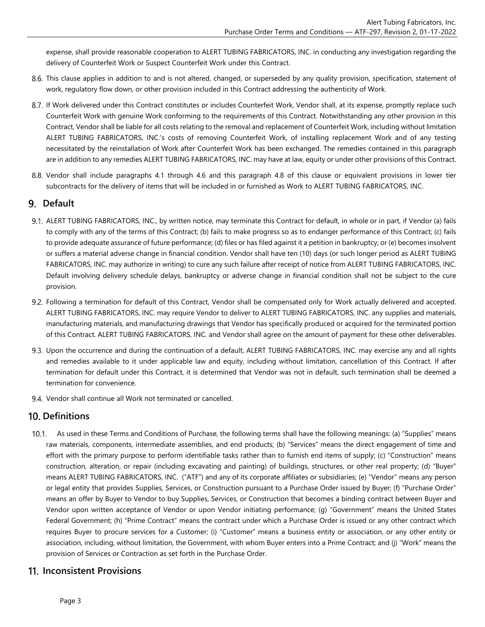expense, shall provide reasonable cooperation to ALERT TUBING FABRICATORS, INC. in conducting any investigation regarding the delivery of Counterfeit Work or Suspect Counterfeit Work under this Contract.

- 8.6. This clause applies in addition to and is not altered, changed, or superseded by any quality provision, specification, statement of work, regulatory flow down, or other provision included in this Contract addressing the authenticity of Work.
- 8.7. If Work delivered under this Contract constitutes or includes Counterfeit Work, Vendor shall, at its expense, promptly replace such Counterfeit Work with genuine Work conforming to the requirements of this Contract. Notwithstanding any other provision in this Contract, Vendor shall be liable for all costs relating to the removal and replacement of Counterfeit Work, including without limitation ALERT TUBING FABRICATORS, INC.'s costs of removing Counterfeit Work, of installing replacement Work and of any testing necessitated by the reinstallation of Work after Counterfeit Work has been exchanged. The remedies contained in this paragraph are in addition to any remedies ALERT TUBING FABRICATORS, INC. may have at law, equity or under other provisions of this Contract.
- Vendor shall include paragraphs 4.1 through 4.6 and this paragraph 4.8 of this clause or equivalent provisions in lower tier subcontracts for the delivery of items that will be included in or furnished as Work to ALERT TUBING FABRICATORS, INC.

## **Default**

- 9.1. ALERT TUBING FABRICATORS, INC., by written notice, may terminate this Contract for default, in whole or in part, if Vendor (a) fails to comply with any of the terms of this Contract; (b) fails to make progress so as to endanger performance of this Contract; (c) fails to provide adequate assurance of future performance; (d) files or has filed against it a petition in bankruptcy; or (e) becomes insolvent or suffers a material adverse change in financial condition. Vendor shall have ten (10) days (or such longer period as ALERT TUBING FABRICATORS, INC. may authorize in writing) to cure any such failure after receipt of notice from ALERT TUBING FABRICATORS, INC. Default involving delivery schedule delays, bankruptcy or adverse change in financial condition shall not be subject to the cure provision.
- Following a termination for default of this Contract, Vendor shall be compensated only for Work actually delivered and accepted. ALERT TUBING FABRICATORS, INC. may require Vendor to deliver to ALERT TUBING FABRICATORS, INC. any supplies and materials, manufacturing materials, and manufacturing drawings that Vendor has specifically produced or acquired for the terminated portion of this Contract. ALERT TUBING FABRICATORS, INC. and Vendor shall agree on the amount of payment for these other deliverables.
- 9.3. Upon the occurrence and during the continuation of a default, ALERT TUBING FABRICATORS, INC. may exercise any and all rights and remedies available to it under applicable law and equity, including without limitation, cancellation of this Contract. If after termination for default under this Contract, it is determined that Vendor was not in default, such termination shall be deemed a termination for convenience.
- 9.4. Vendor shall continue all Work not terminated or cancelled.

#### 10. Definitions

As used in these Terms and Conditions of Purchase, the following terms shall have the following meanings: (a) "Supplies" means raw materials, components, intermediate assemblies, and end products; (b) "Services" means the direct engagement of time and effort with the primary purpose to perform identifiable tasks rather than to furnish end items of supply; (c) "Construction" means construction, alteration, or repair (including excavating and painting) of buildings, structures, or other real property; (d) "Buyer" means ALERT TUBING FABRICATORS, INC. ("ATF") and any of its corporate affiliates or subsidiaries; (e) "Vendor" means any person or legal entity that provides Supplies, Services, or Construction pursuant to a Purchase Order issued by Buyer; (f) "Purchase Order" means an offer by Buyer to Vendor to buy Supplies, Services, or Construction that becomes a binding contract between Buyer and Vendor upon written acceptance of Vendor or upon Vendor initiating performance; (g) "Government" means the United States Federal Government; (h) "Prime Contract" means the contract under which a Purchase Order is issued or any other contract which requires Buyer to procure services for a Customer; (i) "Customer" means a business entity or association, or any other entity or association, including, without limitation, the Government, with whom Buyer enters into a Prime Contract; and (j) "Work" means the provision of Services or Contraction as set forth in the Purchase Order.

#### **Inconsistent Provisions**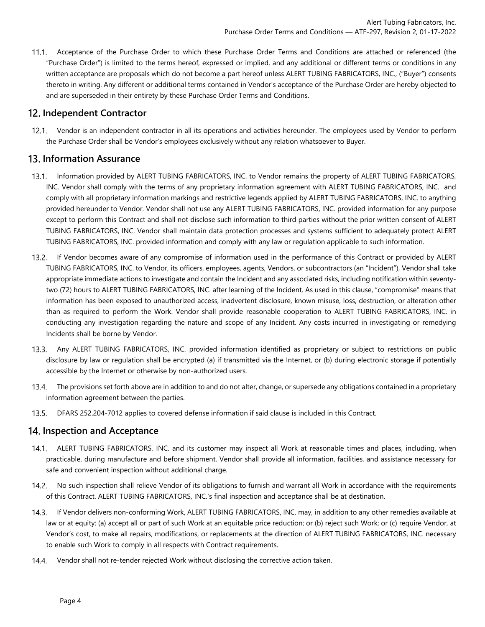$11.1.$ Acceptance of the Purchase Order to which these Purchase Order Terms and Conditions are attached or referenced (the "Purchase Order") is limited to the terms hereof, expressed or implied, and any additional or different terms or conditions in any written acceptance are proposals which do not become a part hereof unless ALERT TUBING FABRICATORS, INC., ("Buyer") consents thereto in writing. Any different or additional terms contained in Vendor's acceptance of the Purchase Order are hereby objected to and are superseded in their entirety by these Purchase Order Terms and Conditions.

## 12. Independent Contractor

Vendor is an independent contractor in all its operations and activities hereunder. The employees used by Vendor to perform the Purchase Order shall be Vendor's employees exclusively without any relation whatsoever to Buyer.

#### **Information Assurance**

- Information provided by ALERT TUBING FABRICATORS, INC. to Vendor remains the property of ALERT TUBING FABRICATORS,  $13.1.$ INC. Vendor shall comply with the terms of any proprietary information agreement with ALERT TUBING FABRICATORS, INC. and comply with all proprietary information markings and restrictive legends applied by ALERT TUBING FABRICATORS, INC. to anything provided hereunder to Vendor. Vendor shall not use any ALERT TUBING FABRICATORS, INC. provided information for any purpose except to perform this Contract and shall not disclose such information to third parties without the prior written consent of ALERT TUBING FABRICATORS, INC. Vendor shall maintain data protection processes and systems sufficient to adequately protect ALERT TUBING FABRICATORS, INC. provided information and comply with any law or regulation applicable to such information.
- If Vendor becomes aware of any compromise of information used in the performance of this Contract or provided by ALERT  $13.2.$ TUBING FABRICATORS, INC. to Vendor, its officers, employees, agents, Vendors, or subcontractors (an "Incident"), Vendor shall take appropriate immediate actions to investigate and contain the Incident and any associated risks, including notification within seventytwo (72) hours to ALERT TUBING FABRICATORS, INC. after learning of the Incident. As used in this clause, "compromise" means that information has been exposed to unauthorized access, inadvertent disclosure, known misuse, loss, destruction, or alteration other than as required to perform the Work. Vendor shall provide reasonable cooperation to ALERT TUBING FABRICATORS, INC. in conducting any investigation regarding the nature and scope of any Incident. Any costs incurred in investigating or remedying Incidents shall be borne by Vendor.
- $13.3.$ Any ALERT TUBING FABRICATORS, INC. provided information identified as proprietary or subject to restrictions on public disclosure by law or regulation shall be encrypted (a) if transmitted via the Internet, or (b) during electronic storage if potentially accessible by the Internet or otherwise by non-authorized users.
- $13.4.$ The provisions set forth above are in addition to and do not alter, change, or supersede any obligations contained in a proprietary information agreement between the parties.
- $13.5.$ DFARS 252.204-7012 applies to covered defense information if said clause is included in this Contract.

## **Inspection and Acceptance**

- ALERT TUBING FABRICATORS, INC. and its customer may inspect all Work at reasonable times and places, including, when practicable, during manufacture and before shipment. Vendor shall provide all information, facilities, and assistance necessary for safe and convenient inspection without additional charge.
- $14.2.$ No such inspection shall relieve Vendor of its obligations to furnish and warrant all Work in accordance with the requirements of this Contract. ALERT TUBING FABRICATORS, INC.'s final inspection and acceptance shall be at destination.
- $14.3.$ If Vendor delivers non-conforming Work, ALERT TUBING FABRICATORS, INC. may, in addition to any other remedies available at law or at equity: (a) accept all or part of such Work at an equitable price reduction; or (b) reject such Work; or (c) require Vendor, at Vendor's cost, to make all repairs, modifications, or replacements at the direction of ALERT TUBING FABRICATORS, INC. necessary to enable such Work to comply in all respects with Contract requirements.
- Vendor shall not re-tender rejected Work without disclosing the corrective action taken. 14.4.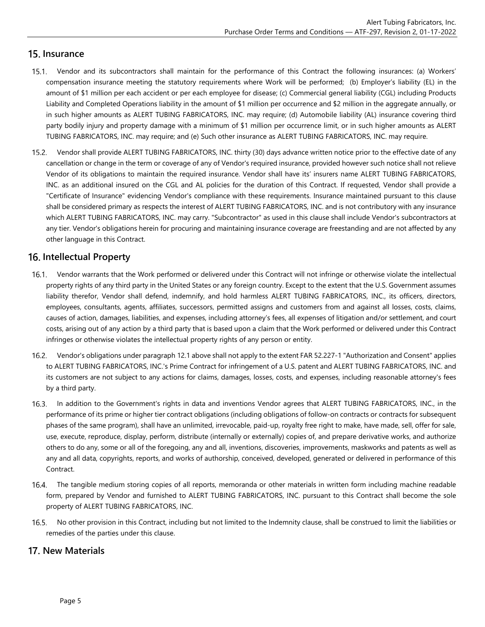## **Insurance**

- Vendor and its subcontractors shall maintain for the performance of this Contract the following insurances: (a) Workers' compensation insurance meeting the statutory requirements where Work will be performed; (b) Employer's liability (EL) in the amount of \$1 million per each accident or per each employee for disease; (c) Commercial general liability (CGL) including Products Liability and Completed Operations liability in the amount of \$1 million per occurrence and \$2 million in the aggregate annually, or in such higher amounts as ALERT TUBING FABRICATORS, INC. may require; (d) Automobile liability (AL) insurance covering third party bodily injury and property damage with a minimum of \$1 million per occurrence limit, or in such higher amounts as ALERT TUBING FABRICATORS, INC. may require; and (e) Such other insurance as ALERT TUBING FABRICATORS, INC. may require.
- Vendor shall provide ALERT TUBING FABRICATORS, INC. thirty (30) days advance written notice prior to the effective date of any cancellation or change in the term or coverage of any of Vendor's required insurance, provided however such notice shall not relieve Vendor of its obligations to maintain the required insurance. Vendor shall have its' insurers name ALERT TUBING FABRICATORS, INC. as an additional insured on the CGL and AL policies for the duration of this Contract. If requested, Vendor shall provide a "Certificate of Insurance" evidencing Vendor's compliance with these requirements. Insurance maintained pursuant to this clause shall be considered primary as respects the interest of ALERT TUBING FABRICATORS, INC. and is not contributory with any insurance which ALERT TUBING FABRICATORS, INC. may carry. "Subcontractor" as used in this clause shall include Vendor's subcontractors at any tier. Vendor's obligations herein for procuring and maintaining insurance coverage are freestanding and are not affected by any other language in this Contract.

## **Intellectual Property**

- Vendor warrants that the Work performed or delivered under this Contract will not infringe or otherwise violate the intellectual  $16.1.$ property rights of any third party in the United States or any foreign country. Except to the extent that the U.S. Government assumes liability therefor, Vendor shall defend, indemnify, and hold harmless ALERT TUBING FABRICATORS, INC., its officers, directors, employees, consultants, agents, affiliates, successors, permitted assigns and customers from and against all losses, costs, claims, causes of action, damages, liabilities, and expenses, including attorney's fees, all expenses of litigation and/or settlement, and court costs, arising out of any action by a third party that is based upon a claim that the Work performed or delivered under this Contract infringes or otherwise violates the intellectual property rights of any person or entity.
- Vendor's obligations under paragraph 12.1 above shall not apply to the extent FAR 52.227-1 "Authorization and Consent" applies to ALERT TUBING FABRICATORS, INC.'s Prime Contract for infringement of a U.S. patent and ALERT TUBING FABRICATORS, INC. and its customers are not subject to any actions for claims, damages, losses, costs, and expenses, including reasonable attorney's fees by a third party.
- $16.3.$ In addition to the Government's rights in data and inventions Vendor agrees that ALERT TUBING FABRICATORS, INC., in the performance of its prime or higher tier contract obligations (including obligations of follow-on contracts or contracts for subsequent phases of the same program), shall have an unlimited, irrevocable, paid-up, royalty free right to make, have made, sell, offer for sale, use, execute, reproduce, display, perform, distribute (internally or externally) copies of, and prepare derivative works, and authorize others to do any, some or all of the foregoing, any and all, inventions, discoveries, improvements, maskworks and patents as well as any and all data, copyrights, reports, and works of authorship, conceived, developed, generated or delivered in performance of this Contract.
- The tangible medium storing copies of all reports, memoranda or other materials in written form including machine readable  $16.4.$ form, prepared by Vendor and furnished to ALERT TUBING FABRICATORS, INC. pursuant to this Contract shall become the sole property of ALERT TUBING FABRICATORS, INC.
- $16.5.$ No other provision in this Contract, including but not limited to the Indemnity clause, shall be construed to limit the liabilities or remedies of the parties under this clause.

## **17. New Materials**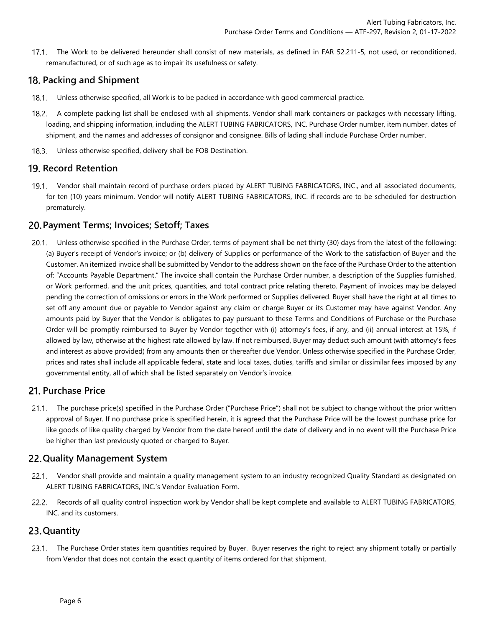$17.1$ The Work to be delivered hereunder shall consist of new materials, as defined in FAR 52.211-5, not used, or reconditioned, remanufactured, or of such age as to impair its usefulness or safety.

## **Packing and Shipment**

- $18.1.$ Unless otherwise specified, all Work is to be packed in accordance with good commercial practice.
- A complete packing list shall be enclosed with all shipments. Vendor shall mark containers or packages with necessary lifting,  $18.2.$ loading, and shipping information, including the ALERT TUBING FABRICATORS, INC. Purchase Order number, item number, dates of shipment, and the names and addresses of consignor and consignee. Bills of lading shall include Purchase Order number.
- Unless otherwise specified, delivery shall be FOB Destination.  $18.3.$

## **19. Record Retention**

 $19.1.$ Vendor shall maintain record of purchase orders placed by ALERT TUBING FABRICATORS, INC., and all associated documents, for ten (10) years minimum. Vendor will notify ALERT TUBING FABRICATORS, INC. if records are to be scheduled for destruction prematurely.

## **Payment Terms; Invoices; Setoff; Taxes**

 $20.1.$ Unless otherwise specified in the Purchase Order, terms of payment shall be net thirty (30) days from the latest of the following: (a) Buyer's receipt of Vendor's invoice; or (b) delivery of Supplies or performance of the Work to the satisfaction of Buyer and the Customer. An itemized invoice shall be submitted by Vendor to the address shown on the face of the Purchase Order to the attention of: "Accounts Payable Department." The invoice shall contain the Purchase Order number, a description of the Supplies furnished, or Work performed, and the unit prices, quantities, and total contract price relating thereto. Payment of invoices may be delayed pending the correction of omissions or errors in the Work performed or Supplies delivered. Buyer shall have the right at all times to set off any amount due or payable to Vendor against any claim or charge Buyer or its Customer may have against Vendor. Any amounts paid by Buyer that the Vendor is obligates to pay pursuant to these Terms and Conditions of Purchase or the Purchase Order will be promptly reimbursed to Buyer by Vendor together with (i) attorney's fees, if any, and (ii) annual interest at 15%, if allowed by law, otherwise at the highest rate allowed by law. If not reimbursed, Buyer may deduct such amount (with attorney's fees and interest as above provided) from any amounts then or thereafter due Vendor. Unless otherwise specified in the Purchase Order, prices and rates shall include all applicable federal, state and local taxes, duties, tariffs and similar or dissimilar fees imposed by any governmental entity, all of which shall be listed separately on Vendor's invoice.

## **Purchase Price**

 $21.1.$ The purchase price(s) specified in the Purchase Order ("Purchase Price") shall not be subject to change without the prior written approval of Buyer. If no purchase price is specified herein, it is agreed that the Purchase Price will be the lowest purchase price for like goods of like quality charged by Vendor from the date hereof until the date of delivery and in no event will the Purchase Price be higher than last previously quoted or charged to Buyer.

## **Quality Management System**

- Vendor shall provide and maintain a quality management system to an industry recognized Quality Standard as designated on ALERT TUBING FABRICATORS, INC.'s Vendor Evaluation Form.
- Records of all quality control inspection work by Vendor shall be kept complete and available to ALERT TUBING FABRICATORS,  $22.2.$ INC. and its customers.

## **Quantity**

23.1. The Purchase Order states item quantities required by Buyer. Buyer reserves the right to reject any shipment totally or partially from Vendor that does not contain the exact quantity of items ordered for that shipment.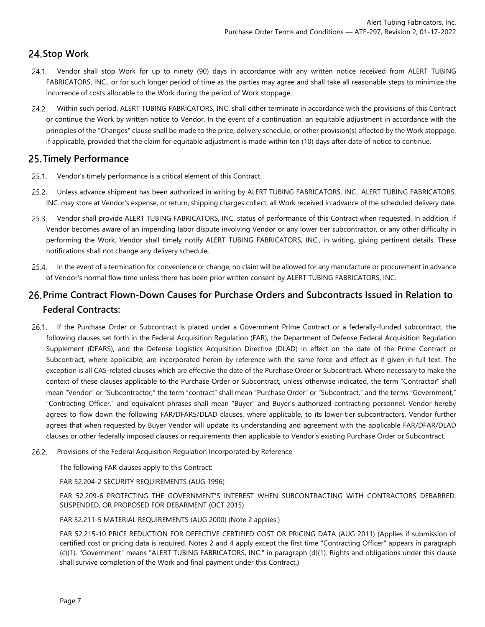## **24. Stop Work**

- Vendor shall stop Work for up to ninety (90) days in accordance with any written notice received from ALERT TUBING FABRICATORS, INC., or for such longer period of time as the parties may agree and shall take all reasonable steps to minimize the incurrence of costs allocable to the Work during the period of Work stoppage.
- $24.2.$ Within such period, ALERT TUBING FABRICATORS, INC. shall either terminate in accordance with the provisions of this Contract or continue the Work by written notice to Vendor. In the event of a continuation, an equitable adjustment in accordance with the principles of the "Changes" clause shall be made to the price, delivery schedule, or other provision(s) affected by the Work stoppage, if applicable, provided that the claim for equitable adjustment is made within ten (10) days after date of notice to continue.

## **Timely Performance**

- 25.1. Vendor's timely performance is a critical element of this Contract.
- $25.2.$ Unless advance shipment has been authorized in writing by ALERT TUBING FABRICATORS, INC., ALERT TUBING FABRICATORS, INC. may store at Vendor's expense, or return, shipping charges collect, all Work received in advance of the scheduled delivery date.
- $25.3.$ Vendor shall provide ALERT TUBING FABRICATORS, INC. status of performance of this Contract when requested. In addition, if Vendor becomes aware of an impending labor dispute involving Vendor or any lower tier subcontractor, or any other difficulty in performing the Work, Vendor shall timely notify ALERT TUBING FABRICATORS, INC., in writing, giving pertinent details. These notifications shall not change any delivery schedule.
- $25.4.$ In the event of a termination for convenience or change, no claim will be allowed for any manufacture or procurement in advance of Vendor's normal flow time unless there has been prior written consent by ALERT TUBING FABRICATORS, INC.

## **Prime Contract Flown-Down Causes for Purchase Orders and Subcontracts Issued in Relation to Federal Contracts:**

- If the Purchase Order or Subcontract is placed under a Government Prime Contract or a federally-funded subcontract, the  $26.1.$ following clauses set forth in the Federal Acquisition Regulation (FAR), the Department of Defense Federal Acquisition Regulation Supplement (DFARS), and the Defense Logistics Acquisition Directive (DLAD) in effect on the date of the Prime Contract or Subcontract, where applicable, are incorporated herein by reference with the same force and effect as if given in full text. The exception is all CAS-related clauses which are effective the date of the Purchase Order or Subcontract. Where necessary to make the context of these clauses applicable to the Purchase Order or Subcontract, unless otherwise indicated, the term "Contractor" shall mean "Vendor" or "Subcontractor," the term "contract" shall mean "Purchase Order" or "Subcontract," and the terms "Government," "Contracting Officer," and equivalent phrases shall mean "Buyer" and Buyer's authorized contracting personnel. Vendor hereby agrees to flow down the following FAR/DFARS/DLAD clauses, where applicable, to its lower-tier subcontractors. Vendor further agrees that when requested by Buyer Vendor will update its understanding and agreement with the applicable FAR/DFAR/DLAD clauses or other federally imposed clauses or requirements then applicable to Vendor's existing Purchase Order or Subcontract.
- $26.2.$ Provisions of the Federal Acquisition Regulation Incorporated by Reference

The following FAR clauses apply to this Contract:

FAR 52.204-2 SECURITY REQUIREMENTS (AUG 1996)

FAR 52.209-6 PROTECTING THE GOVERNMENT'S INTEREST WHEN SUBCONTRACTING WITH CONTRACTORS DEBARRED, SUSPENDED, OR PROPOSED FOR DEBARMENT (OCT 2015)

FAR 52.211-5 MATERIAL REQUIREMENTS (AUG 2000) (Note 2 applies.)

FAR 52.215-10 PRICE REDUCTION FOR DEFECTIVE CERTIFIED COST OR PRICING DATA (AUG 2011) (Applies if submission of certified cost or pricing data is required. Notes 2 and 4 apply except the first time "Contracting Officer" appears in paragraph (c)(1). "Government" means "ALERT TUBING FABRICATORS, INC." in paragraph (d)(1). Rights and obligations under this clause shall survive completion of the Work and final payment under this Contract.)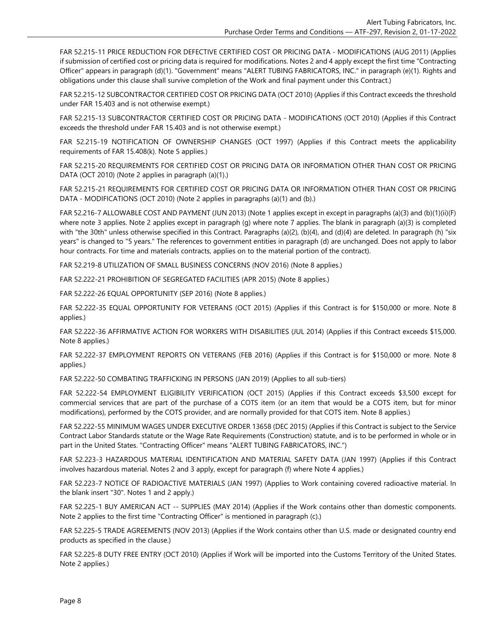FAR 52.215-11 PRICE REDUCTION FOR DEFECTIVE CERTIFIED COST OR PRICING DATA - MODIFICATIONS (AUG 2011) (Applies if submission of certified cost or pricing data is required for modifications. Notes 2 and 4 apply except the first time "Contracting Officer" appears in paragraph (d)(1). "Government" means "ALERT TUBING FABRICATORS, INC." in paragraph (e)(1). Rights and obligations under this clause shall survive completion of the Work and final payment under this Contract.)

FAR 52.215-12 SUBCONTRACTOR CERTIFIED COST OR PRICING DATA (OCT 2010) (Applies if this Contract exceeds the threshold under FAR 15.403 and is not otherwise exempt.)

FAR 52.215-13 SUBCONTRACTOR CERTIFIED COST OR PRICING DATA - MODIFICATIONS (OCT 2010) (Applies if this Contract exceeds the threshold under FAR 15.403 and is not otherwise exempt.)

FAR 52.215-19 NOTIFICATION OF OWNERSHIP CHANGES (OCT 1997) (Applies if this Contract meets the applicability requirements of FAR 15.408(k). Note 5 applies.)

FAR 52.215-20 REQUIREMENTS FOR CERTIFIED COST OR PRICING DATA OR INFORMATION OTHER THAN COST OR PRICING DATA (OCT 2010) (Note 2 applies in paragraph (a)(1).)

FAR 52.215-21 REQUIREMENTS FOR CERTIFIED COST OR PRICING DATA OR INFORMATION OTHER THAN COST OR PRICING DATA - MODIFICATIONS (OCT 2010) (Note 2 applies in paragraphs (a)(1) and (b).)

FAR 52.216-7 ALLOWABLE COST AND PAYMENT (JUN 2013) (Note 1 applies except in except in paragraphs (a)(3) and (b)(1)(ii)(F) where note 3 applies. Note 2 applies except in paragraph (g) where note 7 applies. The blank in paragraph (a)(3) is completed with "the 30th" unless otherwise specified in this Contract. Paragraphs (a)(2), (b)(4), and (d)(4) are deleted. In paragraph (h) "six years" is changed to "5 years." The references to government entities in paragraph (d) are unchanged. Does not apply to labor hour contracts. For time and materials contracts, applies on to the material portion of the contract).

FAR 52.219-8 UTILIZATION OF SMALL BUSINESS CONCERNS (NOV 2016) (Note 8 applies.)

FAR 52.222-21 PROHIBITION OF SEGREGATED FACILITIES (APR 2015) (Note 8 applies.)

FAR 52.222-26 EQUAL OPPORTUNITY (SEP 2016) (Note 8 applies.)

FAR 52.222-35 EQUAL OPPORTUNITY FOR VETERANS (OCT 2015) (Applies if this Contract is for \$150,000 or more. Note 8 applies.)

FAR 52.222-36 AFFIRMATIVE ACTION FOR WORKERS WITH DISABILITIES (JUL 2014) (Applies if this Contract exceeds \$15,000. Note 8 applies.)

FAR 52.222-37 EMPLOYMENT REPORTS ON VETERANS (FEB 2016) (Applies if this Contract is for \$150,000 or more. Note 8 applies.)

FAR 52.222-50 COMBATING TRAFFICKING IN PERSONS (JAN 2019) (Applies to all sub-tiers)

FAR 52.222-54 EMPLOYMENT ELIGIBILITY VERIFICATION (OCT 2015) (Applies if this Contract exceeds \$3,500 except for commercial services that are part of the purchase of a COTS item (or an item that would be a COTS item, but for minor modifications), performed by the COTS provider, and are normally provided for that COTS item. Note 8 applies.)

FAR 52.222-55 MINIMUM WAGES UNDER EXECUTIVE ORDER 13658 (DEC 2015) (Applies if this Contract is subject to the Service Contract Labor Standards statute or the Wage Rate Requirements (Construction) statute, and is to be performed in whole or in part in the United States. "Contracting Officer" means "ALERT TUBING FABRICATORS, INC.")

FAR 52.223-3 HAZARDOUS MATERIAL IDENTIFICATION AND MATERIAL SAFETY DATA (JAN 1997) (Applies if this Contract involves hazardous material. Notes 2 and 3 apply, except for paragraph (f) where Note 4 applies.)

FAR 52.223-7 NOTICE OF RADIOACTIVE MATERIALS (JAN 1997) (Applies to Work containing covered radioactive material. In the blank insert "30". Notes 1 and 2 apply.)

FAR 52.225-1 BUY AMERICAN ACT -- SUPPLIES (MAY 2014) (Applies if the Work contains other than domestic components. Note 2 applies to the first time "Contracting Officer" is mentioned in paragraph (c).)

FAR 52.225-5 TRADE AGREEMENTS (NOV 2013) (Applies if the Work contains other than U.S. made or designated country end products as specified in the clause.)

FAR 52.225-8 DUTY FREE ENTRY (OCT 2010) (Applies if Work will be imported into the Customs Territory of the United States. Note 2 applies.)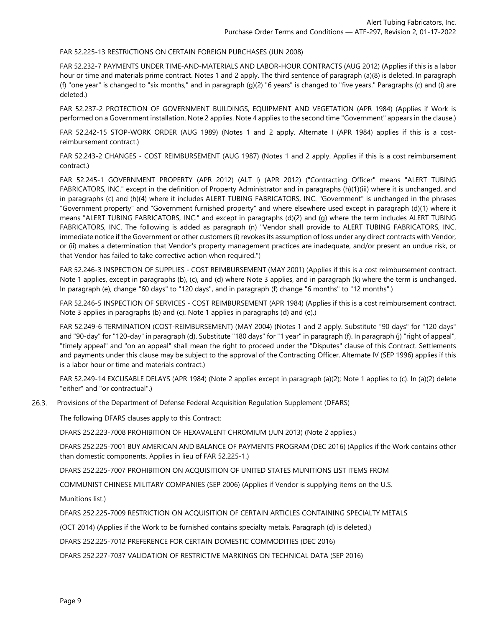FAR 52.225-13 RESTRICTIONS ON CERTAIN FOREIGN PURCHASES (JUN 2008)

FAR 52.232-7 PAYMENTS UNDER TIME-AND-MATERIALS AND LABOR-HOUR CONTRACTS (AUG 2012) (Applies if this is a labor hour or time and materials prime contract. Notes 1 and 2 apply. The third sentence of paragraph (a)(8) is deleted. In paragraph (f) "one year" is changed to "six months," and in paragraph (g)(2) "6 years" is changed to "five years." Paragraphs (c) and (i) are deleted.)

FAR 52.237-2 PROTECTION OF GOVERNMENT BUILDINGS, EQUIPMENT AND VEGETATION (APR 1984) (Applies if Work is performed on a Government installation. Note 2 applies. Note 4 applies to the second time "Government" appears in the clause.)

FAR 52.242-15 STOP-WORK ORDER (AUG 1989) (Notes 1 and 2 apply. Alternate I (APR 1984) applies if this is a costreimbursement contract.)

FAR 52.243-2 CHANGES - COST REIMBURSEMENT (AUG 1987) (Notes 1 and 2 apply. Applies if this is a cost reimbursement contract.)

FAR 52.245-1 GOVERNMENT PROPERTY (APR 2012) (ALT I) (APR 2012) ("Contracting Officer" means "ALERT TUBING FABRICATORS, INC." except in the definition of Property Administrator and in paragraphs (h)(1)(iii) where it is unchanged, and in paragraphs (c) and (h)(4) where it includes ALERT TUBING FABRICATORS, INC. "Government" is unchanged in the phrases "Government property" and "Government furnished property" and where elsewhere used except in paragraph (d)(1) where it means "ALERT TUBING FABRICATORS, INC." and except in paragraphs (d)(2) and (g) where the term includes ALERT TUBING FABRICATORS, INC. The following is added as paragraph (n) "Vendor shall provide to ALERT TUBING FABRICATORS, INC. immediate notice if the Government or other customers (i) revokes its assumption of loss under any direct contracts with Vendor, or (ii) makes a determination that Vendor's property management practices are inadequate, and/or present an undue risk, or that Vendor has failed to take corrective action when required.")

FAR 52.246-3 INSPECTION OF SUPPLIES - COST REIMBURSEMENT (MAY 2001) (Applies if this is a cost reimbursement contract. Note 1 applies, except in paragraphs (b), (c), and (d) where Note 3 applies, and in paragraph (k) where the term is unchanged. In paragraph (e), change "60 days" to "120 days", and in paragraph (f) change "6 months" to "12 months".)

FAR 52.246-5 INSPECTION OF SERVICES - COST REIMBURSEMENT (APR 1984) (Applies if this is a cost reimbursement contract. Note 3 applies in paragraphs (b) and (c). Note 1 applies in paragraphs (d) and (e).)

FAR 52.249-6 TERMINATION (COST-REIMBURSEMENT) (MAY 2004) (Notes 1 and 2 apply. Substitute "90 days" for "120 days" and "90-day" for "120-day" in paragraph (d). Substitute "180 days" for "1 year" in paragraph (f). In paragraph (j) "right of appeal", "timely appeal" and "on an appeal" shall mean the right to proceed under the "Disputes" clause of this Contract. Settlements and payments under this clause may be subject to the approval of the Contracting Officer. Alternate IV (SEP 1996) applies if this is a labor hour or time and materials contract.)

FAR 52.249-14 EXCUSABLE DELAYS (APR 1984) (Note 2 applies except in paragraph (a)(2); Note 1 applies to (c). In (a)(2) delete "either" and "or contractual".)

 $26.3.$ Provisions of the Department of Defense Federal Acquisition Regulation Supplement (DFARS)

The following DFARS clauses apply to this Contract:

DFARS 252.223-7008 PROHIBITION OF HEXAVALENT CHROMIUM (JUN 2013) (Note 2 applies.)

DFARS 252.225-7001 BUY AMERICAN AND BALANCE OF PAYMENTS PROGRAM (DEC 2016) (Applies if the Work contains other than domestic components. Applies in lieu of FAR 52.225-1.)

DFARS 252.225-7007 PROHIBITION ON ACQUISITION OF UNITED STATES MUNITIONS LIST ITEMS FROM

COMMUNIST CHINESE MILITARY COMPANIES (SEP 2006) (Applies if Vendor is supplying items on the U.S.

Munitions list.)

DFARS 252.225-7009 RESTRICTION ON ACQUISITION OF CERTAIN ARTICLES CONTAINING SPECIALTY METALS

(OCT 2014) (Applies if the Work to be furnished contains specialty metals. Paragraph (d) is deleted.)

DFARS 252.225-7012 PREFERENCE FOR CERTAIN DOMESTIC COMMODITIES (DEC 2016)

DFARS 252.227-7037 VALIDATION OF RESTRICTIVE MARKINGS ON TECHNICAL DATA (SEP 2016)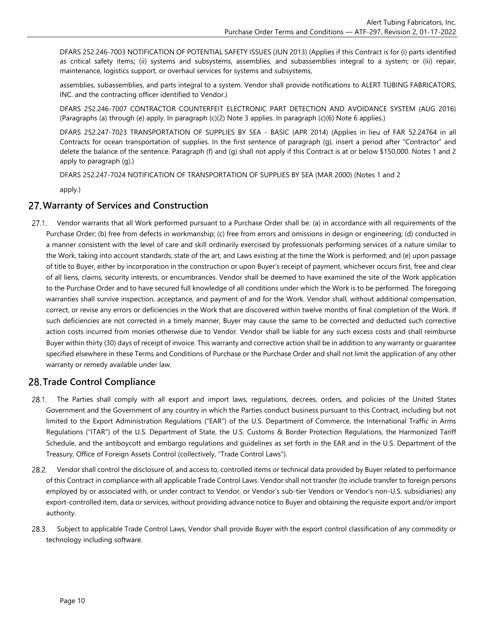DFARS 252.246-7003 NOTIFICATION OF POTENTIAL SAFETY ISSUES (JUN 2013) (Applies if this Contract is for (i) parts identified as critical safety items; (ii) systems and subsystems, assemblies, and subassemblies integral to a system; or (iii) repair, maintenance, logistics support, or overhaul services for systems and subsystems,

assemblies, subassemblies, and parts integral to a system. Vendor shall provide notifications to ALERT TUBING FABRICATORS, INC. and the contracting officer identified to Vendor.)

DFARS 252.246-7007 CONTRACTOR COUNTERFEIT ELECTRONIC PART DETECTION AND AVOIDANCE SYSTEM (AUG 2016) (Paragraphs (a) through (e) apply. In paragraph (c)(2) Note 3 applies. In paragraph (c)(6) Note 6 applies.)

DFARS 252.247-7023 TRANSPORTATION OF SUPPLIES BY SEA - BASIC (APR 2014) (Applies in lieu of FAR 52.24764 in all Contracts for ocean transportation of supplies. In the first sentence of paragraph (g), insert a period after "Contractor" and delete the balance of the sentence. Paragraph (f) and (g) shall not apply if this Contract is at or below \$150,000. Notes 1 and 2 apply to paragraph (g).)

DFARS 252.247-7024 NOTIFICATION OF TRANSPORTATION OF SUPPLIES BY SEA (MAR 2000) (Notes 1 and 2

apply.)

#### **Warranty of Services and Construction**

Vendor warrants that all Work performed pursuant to a Purchase Order shall be: (a) in accordance with all requirements of the  $27.1.$ Purchase Order; (b) free from defects in workmanship; (c) free from errors and omissions in design or engineering; (d) conducted in a manner consistent with the level of care and skill ordinarily exercised by professionals performing services of a nature similar to the Work, taking into account standards, state of the art, and Laws existing at the time the Work is performed; and (e) upon passage of title to Buyer, either by incorporation in the construction or upon Buyer's receipt of payment, whichever occurs first, free and clear of all liens, claims, security interests, or encumbrances. Vendor shall be deemed to have examined the site of the Work application to the Purchase Order and to have secured full knowledge of all conditions under which the Work is to be performed. The foregoing warranties shall survive inspection, acceptance, and payment of and for the Work. Vendor shall, without additional compensation, correct, or revise any errors or deficiencies in the Work that are discovered within twelve months of final completion of the Work. If such deficiencies are not corrected in a timely manner, Buyer may cause the same to be corrected and deducted such corrective action costs incurred from monies otherwise due to Vendor. Vendor shall be liable for any such excess costs and shall reimburse Buyer within thirty (30) days of receipt of invoice. This warranty and corrective action shall be in addition to any warranty or guarantee specified elsewhere in these Terms and Conditions of Purchase or the Purchase Order and shall not limit the application of any other warranty or remedy available under law.

## **Trade Control Compliance**

- $28.1.$ The Parties shall comply with all export and import laws, regulations, decrees, orders, and policies of the United States Government and the Government of any country in which the Parties conduct business pursuant to this Contract, including but not limited to the Export Administration Regulations ("EAR") of the U.S. Department of Commerce, the International Traffic in Arms Regulations ("ITAR") of the U.S. Department of State, the U.S. Customs & Border Protection Regulations, the Harmonized Tariff Schedule, and the antiboycott and embargo regulations and guidelines as set forth in the EAR and in the U.S. Department of the Treasury, Office of Foreign Assets Control (collectively, "Trade Control Laws").
- Vendor shall control the disclosure of, and access to, controlled items or technical data provided by Buyer related to performance  $28.2.$ of this Contract in compliance with all applicable Trade Control Laws. Vendor shall not transfer (to include transfer to foreign persons employed by or associated with, or under contract to Vendor, or Vendor's sub-tier Vendors or Vendor's non-U.S. subsidiaries) any export-controlled item, data or services, without providing advance notice to Buyer and obtaining the requisite export and/or import authority.
- Subject to applicable Trade Control Laws, Vendor shall provide Buyer with the export control classification of any commodity or  $28.3.$ technology including software.